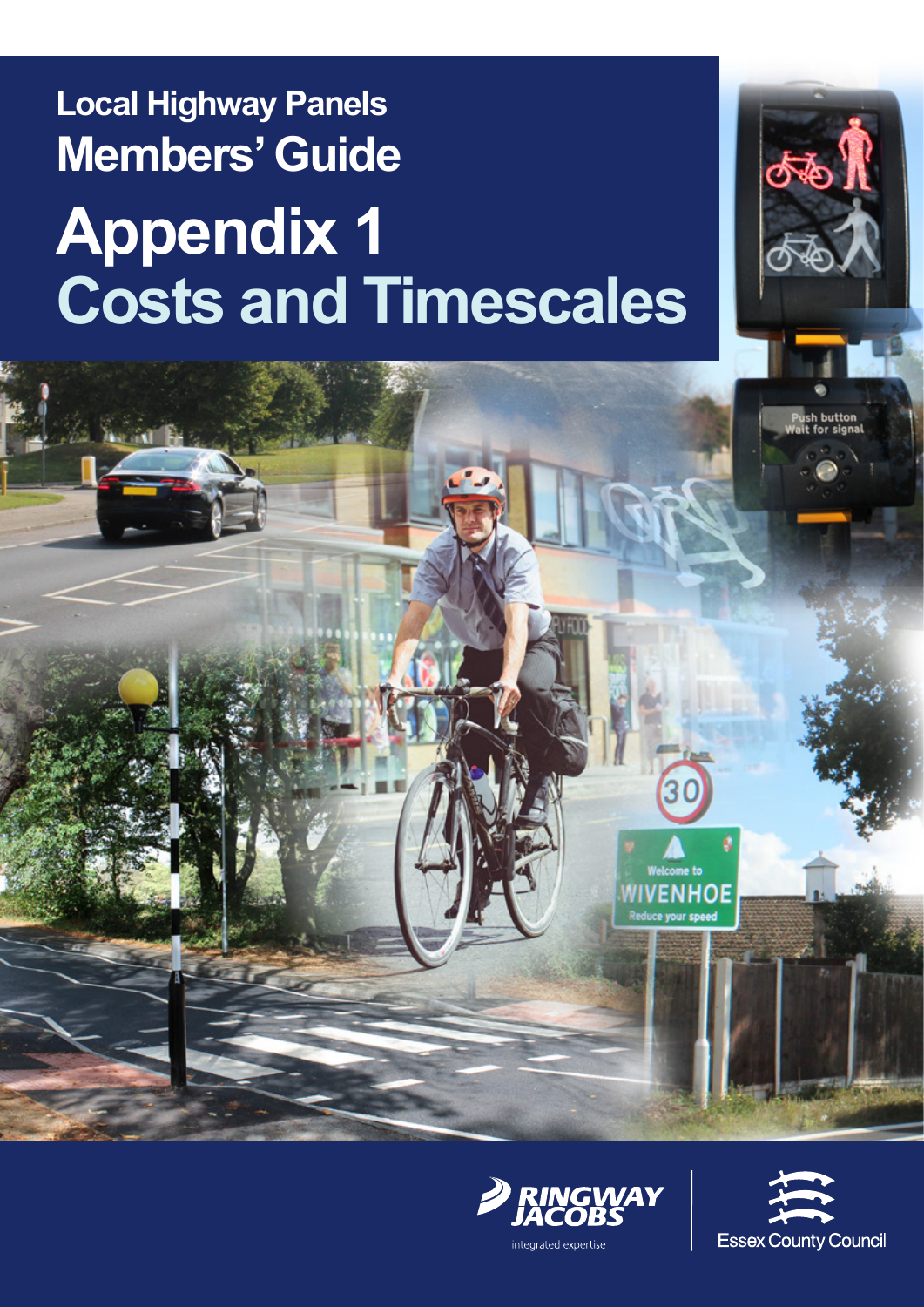# **Local Highway Panels Members' Guide Appendix 1 Costs and Timescales**







க்க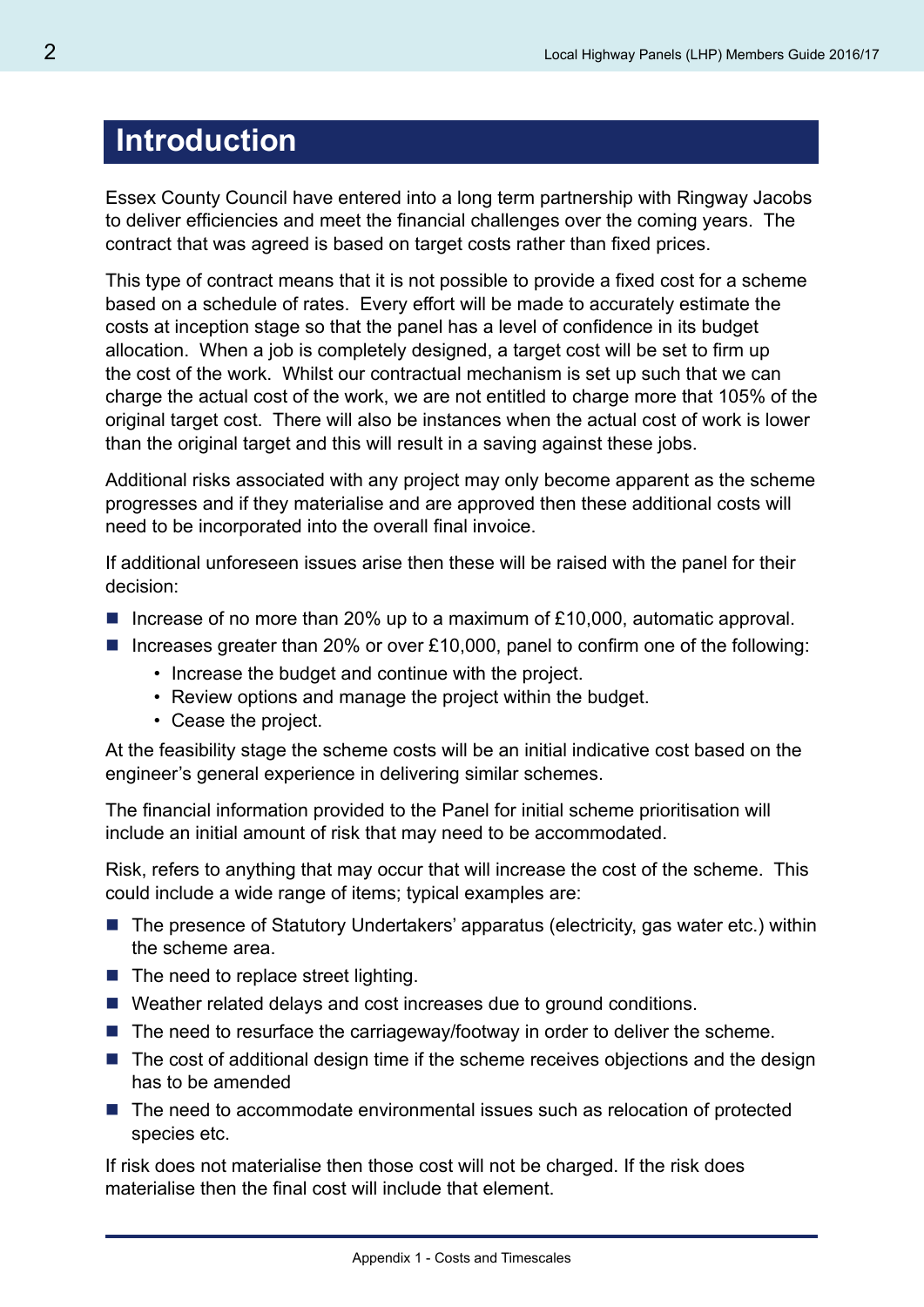### **Introduction**

Essex County Council have entered into a long term partnership with Ringway Jacobs to deliver efficiencies and meet the financial challenges over the coming years. The contract that was agreed is based on target costs rather than fixed prices.

This type of contract means that it is not possible to provide a fixed cost for a scheme based on a schedule of rates. Every effort will be made to accurately estimate the costs at inception stage so that the panel has a level of confidence in its budget allocation. When a job is completely designed, a target cost will be set to firm up the cost of the work. Whilst our contractual mechanism is set up such that we can charge the actual cost of the work, we are not entitled to charge more that 105% of the original target cost. There will also be instances when the actual cost of work is lower than the original target and this will result in a saving against these jobs.

Additional risks associated with any project may only become apparent as the scheme progresses and if they materialise and are approved then these additional costs will need to be incorporated into the overall final invoice.

If additional unforeseen issues arise then these will be raised with the panel for their decision:

- Increase of no more than 20% up to a maximum of £10,000, automatic approval.
- Increases greater than 20% or over £10,000, panel to confirm one of the following:
	- Increase the budget and continue with the project.
	- Review options and manage the project within the budget.
	- Cease the project.

At the feasibility stage the scheme costs will be an initial indicative cost based on the engineer's general experience in delivering similar schemes.

The financial information provided to the Panel for initial scheme prioritisation will include an initial amount of risk that may need to be accommodated.

Risk, refers to anything that may occur that will increase the cost of the scheme. This could include a wide range of items; typical examples are:

- $\blacksquare$  The presence of Statutory Undertakers' apparatus (electricity, gas water etc.) within the scheme area.
- $\blacksquare$  The need to replace street lighting.
- Weather related delays and cost increases due to ground conditions.
- $\blacksquare$  The need to resurface the carriageway/footway in order to deliver the scheme.
- $\blacksquare$  The cost of additional design time if the scheme receives objections and the design has to be amended
- The need to accommodate environmental issues such as relocation of protected species etc.

If risk does not materialise then those cost will not be charged. If the risk does materialise then the final cost will include that element.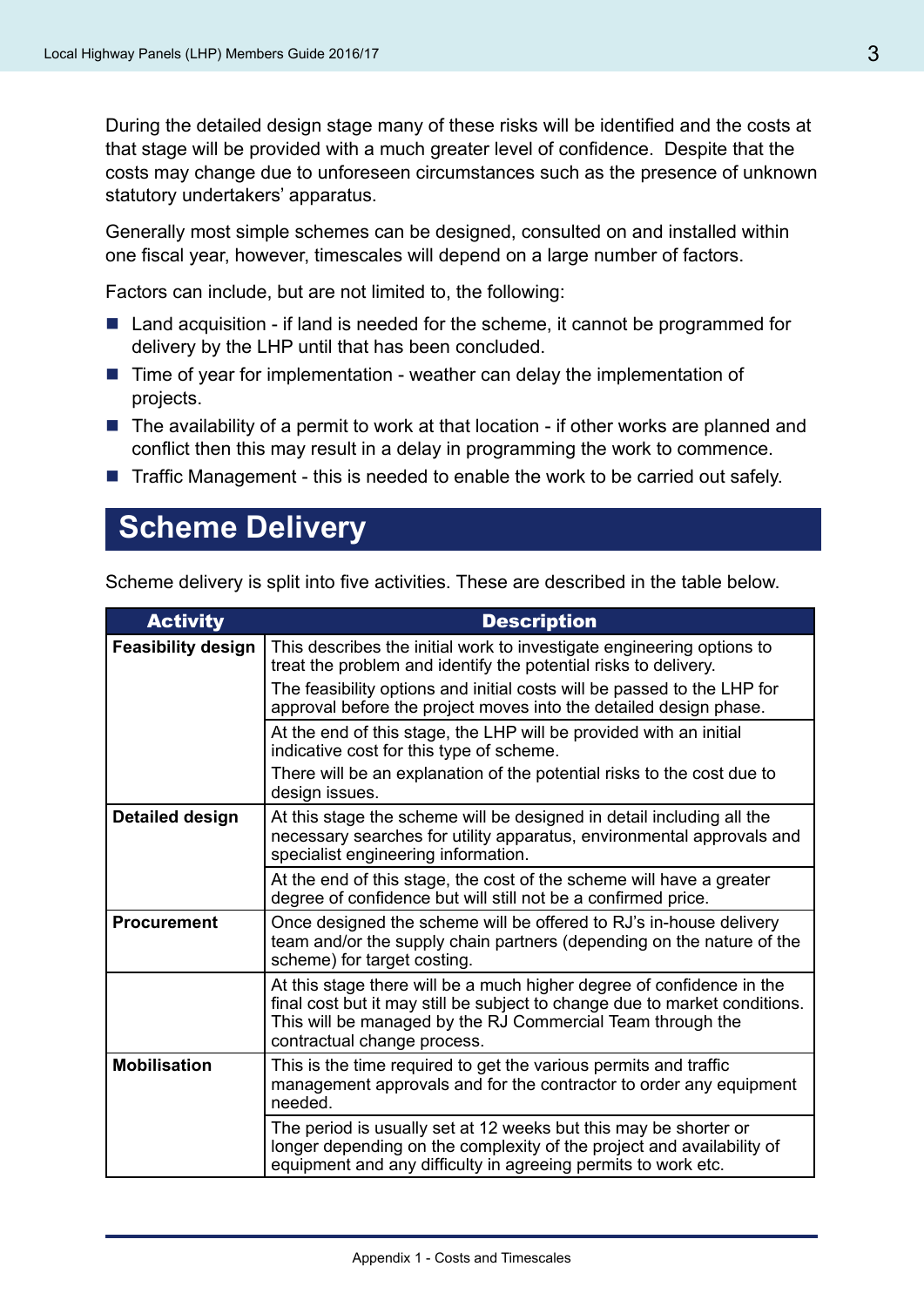During the detailed design stage many of these risks will be identified and the costs at that stage will be provided with a much greater level of confidence. Despite that the costs may change due to unforeseen circumstances such as the presence of unknown statutory undertakers' apparatus.

Generally most simple schemes can be designed, consulted on and installed within one fiscal year, however, timescales will depend on a large number of factors.

Factors can include, but are not limited to, the following:

- $\blacksquare$  Land acquisition if land is needed for the scheme, it cannot be programmed for delivery by the LHP until that has been concluded.
- $\blacksquare$  Time of year for implementation weather can delay the implementation of projects.
- $\blacksquare$  The availability of a permit to work at that location if other works are planned and conflict then this may result in a delay in programming the work to commence.
- $\blacksquare$  Traffic Management this is needed to enable the work to be carried out safely.

### **Scheme Delivery**

Scheme delivery is split into five activities. These are described in the table below.

| <b>Activity</b>           | <b>Description</b>                                                                                                                                                                                                                               |
|---------------------------|--------------------------------------------------------------------------------------------------------------------------------------------------------------------------------------------------------------------------------------------------|
| <b>Feasibility design</b> | This describes the initial work to investigate engineering options to<br>treat the problem and identify the potential risks to delivery.                                                                                                         |
|                           | The feasibility options and initial costs will be passed to the LHP for<br>approval before the project moves into the detailed design phase.                                                                                                     |
|                           | At the end of this stage, the LHP will be provided with an initial<br>indicative cost for this type of scheme.                                                                                                                                   |
|                           | There will be an explanation of the potential risks to the cost due to<br>design issues.                                                                                                                                                         |
| Detailed design           | At this stage the scheme will be designed in detail including all the<br>necessary searches for utility apparatus, environmental approvals and<br>specialist engineering information.                                                            |
|                           | At the end of this stage, the cost of the scheme will have a greater<br>degree of confidence but will still not be a confirmed price.                                                                                                            |
| <b>Procurement</b>        | Once designed the scheme will be offered to RJ's in-house delivery<br>team and/or the supply chain partners (depending on the nature of the<br>scheme) for target costing.                                                                       |
|                           | At this stage there will be a much higher degree of confidence in the<br>final cost but it may still be subject to change due to market conditions.<br>This will be managed by the RJ Commercial Team through the<br>contractual change process. |
| <b>Mobilisation</b>       | This is the time required to get the various permits and traffic<br>management approvals and for the contractor to order any equipment<br>needed.                                                                                                |
|                           | The period is usually set at 12 weeks but this may be shorter or<br>longer depending on the complexity of the project and availability of<br>equipment and any difficulty in agreeing permits to work etc.                                       |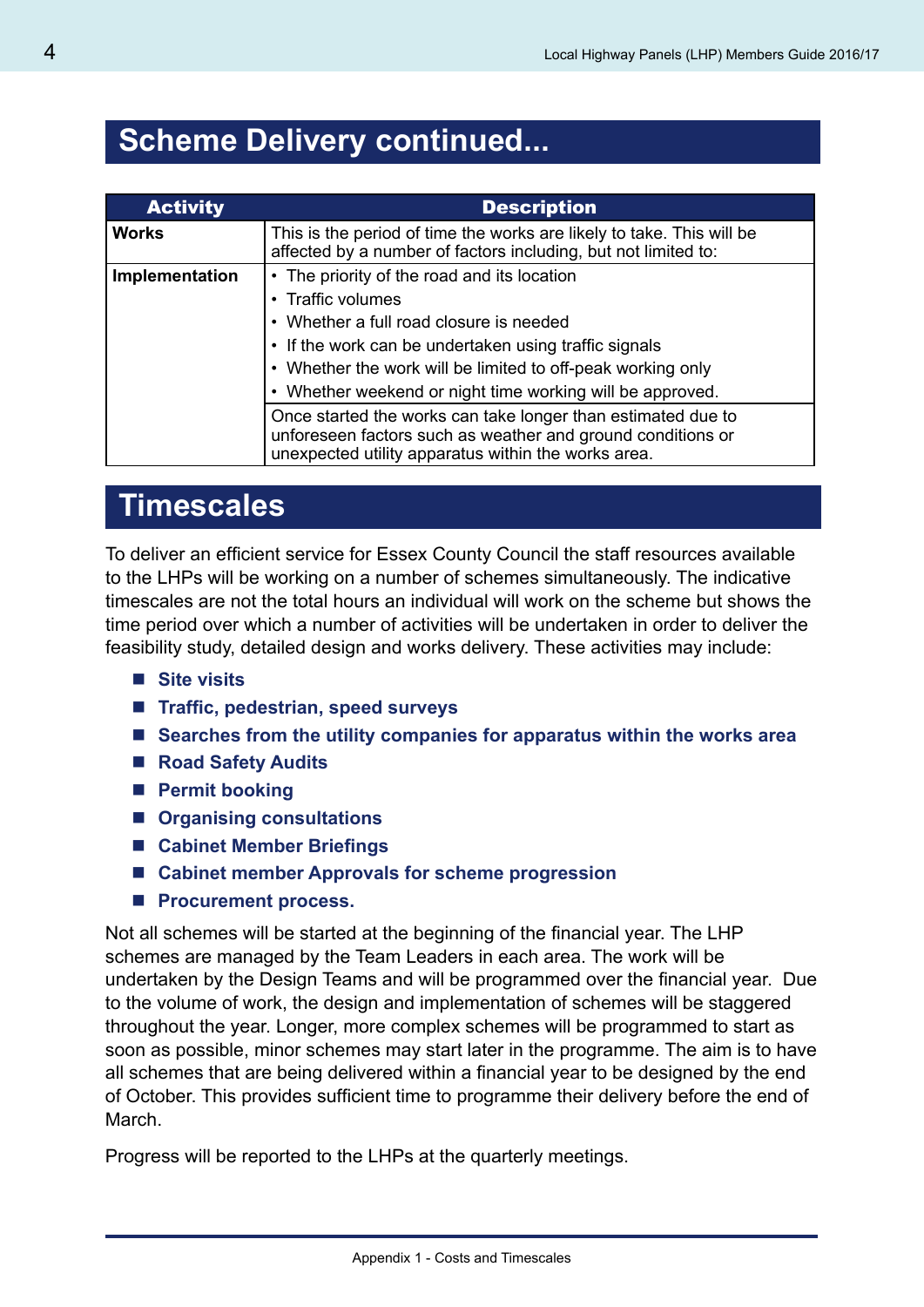### **Scheme Delivery continued...**

| <b>Activity</b> | <b>Description</b>                                                                                                                                                                 |
|-----------------|------------------------------------------------------------------------------------------------------------------------------------------------------------------------------------|
| <b>Works</b>    | This is the period of time the works are likely to take. This will be<br>affected by a number of factors including, but not limited to:                                            |
| Implementation  | • The priority of the road and its location                                                                                                                                        |
|                 | • Traffic volumes                                                                                                                                                                  |
|                 | • Whether a full road closure is needed                                                                                                                                            |
|                 | • If the work can be undertaken using traffic signals                                                                                                                              |
|                 | • Whether the work will be limited to off-peak working only                                                                                                                        |
|                 | • Whether weekend or night time working will be approved.                                                                                                                          |
|                 | Once started the works can take longer than estimated due to<br>unforeseen factors such as weather and ground conditions or<br>unexpected utility apparatus within the works area. |

### **Timescales**

To deliver an efficient service for Essex County Council the staff resources available to the LHPs will be working on a number of schemes simultaneously. The indicative timescales are not the total hours an individual will work on the scheme but shows the time period over which a number of activities will be undertaken in order to deliver the feasibility study, detailed design and works delivery. These activities may include:

- Site visits
- Traffic, pedestrian, speed surveys
- **Searches from the utility companies for apparatus within the works area**
- Road Safety Audits
- **Permit booking**
- **Organising consultations**
- **Cabinet Member Briefings**
- Cabinet member Approvals for scheme progression
- **Procurement process.**

Not all schemes will be started at the beginning of the financial year. The LHP schemes are managed by the Team Leaders in each area. The work will be undertaken by the Design Teams and will be programmed over the financial year. Due to the volume of work, the design and implementation of schemes will be staggered throughout the year. Longer, more complex schemes will be programmed to start as soon as possible, minor schemes may start later in the programme. The aim is to have all schemes that are being delivered within a financial year to be designed by the end of October. This provides sufficient time to programme their delivery before the end of March.

Progress will be reported to the LHPs at the quarterly meetings.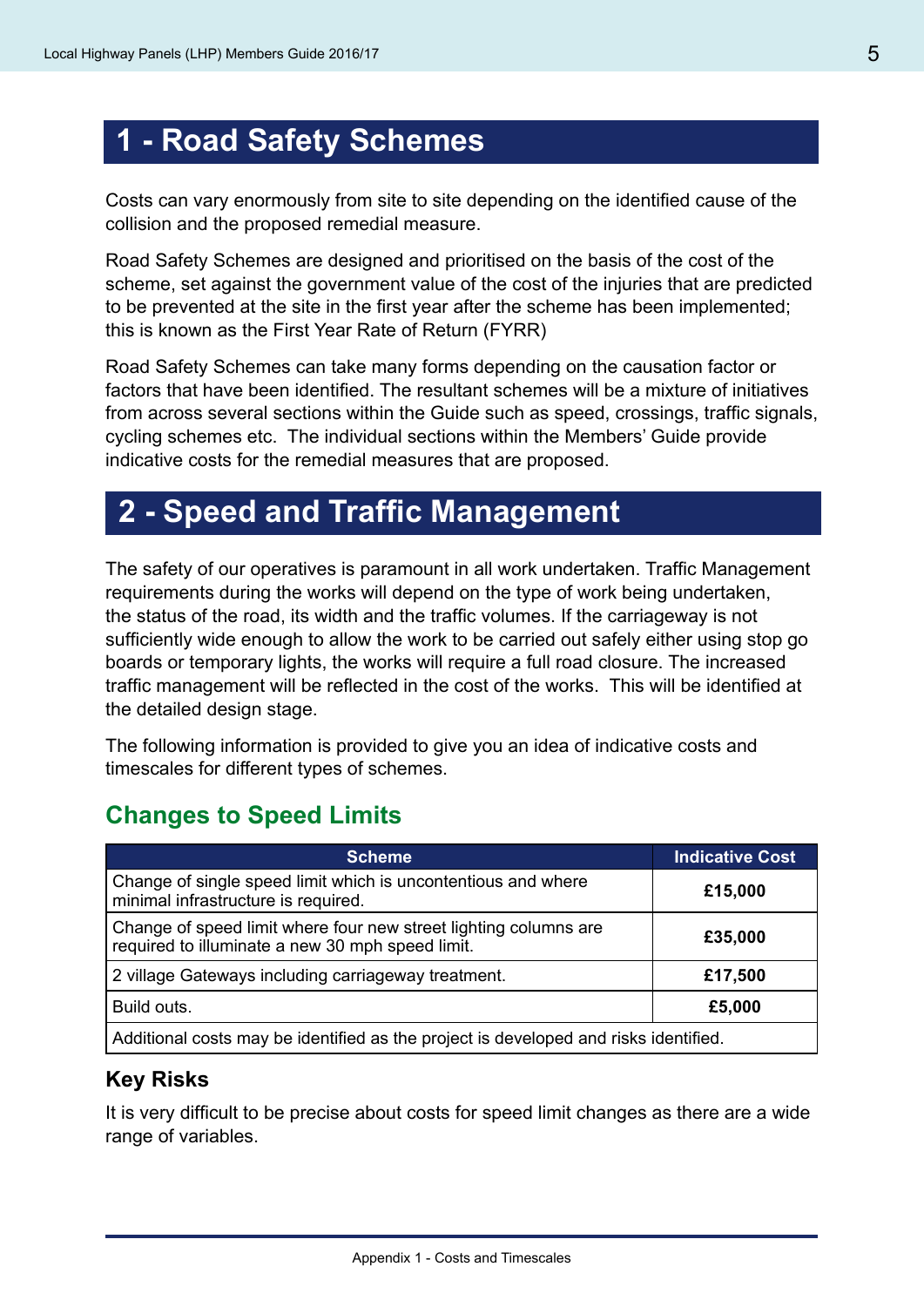### **1 - Road Safety Schemes**

Costs can vary enormously from site to site depending on the identified cause of the collision and the proposed remedial measure.

Road Safety Schemes are designed and prioritised on the basis of the cost of the scheme, set against the government value of the cost of the injuries that are predicted to be prevented at the site in the first year after the scheme has been implemented; this is known as the First Year Rate of Return (FYRR)

Road Safety Schemes can take many forms depending on the causation factor or factors that have been identified. The resultant schemes will be a mixture of initiatives from across several sections within the Guide such as speed, crossings, traffic signals, cycling schemes etc. The individual sections within the Members' Guide provide indicative costs for the remedial measures that are proposed.

### **2 - Speed and Traffic Management**

The safety of our operatives is paramount in all work undertaken. Traffic Management requirements during the works will depend on the type of work being undertaken, the status of the road, its width and the traffic volumes. If the carriageway is not sufficiently wide enough to allow the work to be carried out safely either using stop go boards or temporary lights, the works will require a full road closure. The increased traffic management will be reflected in the cost of the works. This will be identified at the detailed design stage.

The following information is provided to give you an idea of indicative costs and timescales for different types of schemes.

#### **Changes to Speed Limits**

| <b>Scheme</b>                                                                                                        | <b>Indicative Cost</b> |
|----------------------------------------------------------------------------------------------------------------------|------------------------|
| Change of single speed limit which is uncontentious and where<br>minimal infrastructure is required.                 | £15,000                |
| Change of speed limit where four new street lighting columns are<br>required to illuminate a new 30 mph speed limit. | £35,000                |
| 2 village Gateways including carriageway treatment.                                                                  | £17,500                |
| Build outs.                                                                                                          | £5,000                 |
| Additional costs may be identified as the project is developed and risks identified.                                 |                        |

#### **Key Risks**

It is very difficult to be precise about costs for speed limit changes as there are a wide range of variables.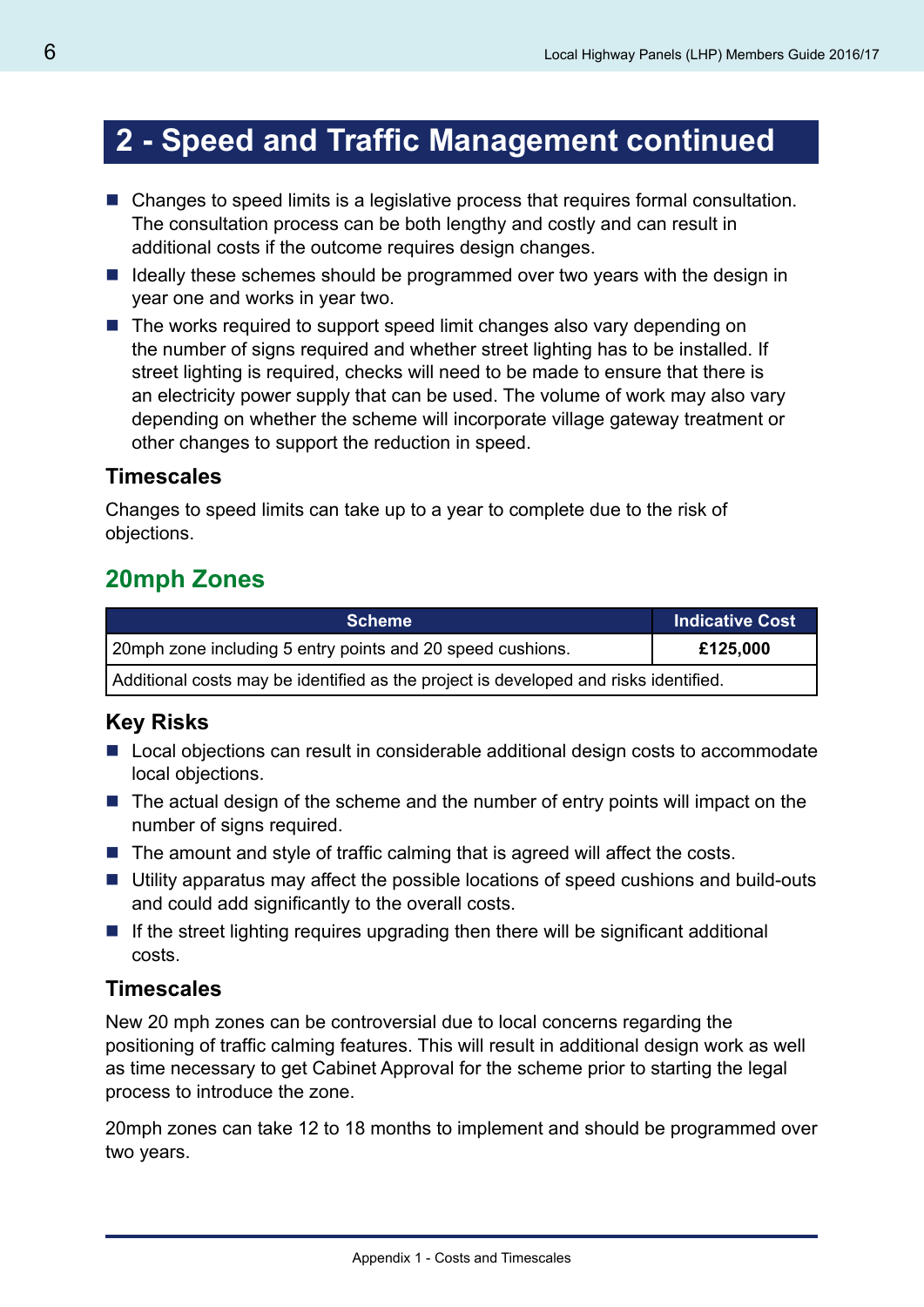## **2 - Speed and Traffic Management continued**

- Changes to speed limits is a legislative process that requires formal consultation. The consultation process can be both lengthy and costly and can result in additional costs if the outcome requires design changes.
- I Ideally these schemes should be programmed over two years with the design in year one and works in year two.
- The works required to support speed limit changes also vary depending on the number of signs required and whether street lighting has to be installed. If street lighting is required, checks will need to be made to ensure that there is an electricity power supply that can be used. The volume of work may also vary depending on whether the scheme will incorporate village gateway treatment or other changes to support the reduction in speed.

#### **Timescales**

Changes to speed limits can take up to a year to complete due to the risk of objections.

### **20mph Zones**

| <b>Scheme</b>                                                                        | <b>Indicative Cost</b> |
|--------------------------------------------------------------------------------------|------------------------|
| 20mph zone including 5 entry points and 20 speed cushions.                           | £125,000               |
| Additional costs may be identified as the project is developed and risks identified. |                        |

#### **Key Risks**

- Local objections can result in considerable additional design costs to accommodate local objections.
- $\blacksquare$  The actual design of the scheme and the number of entry points will impact on the number of signs required.
- $\blacksquare$  The amount and style of traffic calming that is agreed will affect the costs.
- Utility apparatus may affect the possible locations of speed cushions and build-outs and could add significantly to the overall costs.
- $\blacksquare$  If the street lighting requires upgrading then there will be significant additional costs.

#### **Timescales**

New 20 mph zones can be controversial due to local concerns regarding the positioning of traffic calming features. This will result in additional design work as well as time necessary to get Cabinet Approval for the scheme prior to starting the legal process to introduce the zone.

20mph zones can take 12 to 18 months to implement and should be programmed over two years.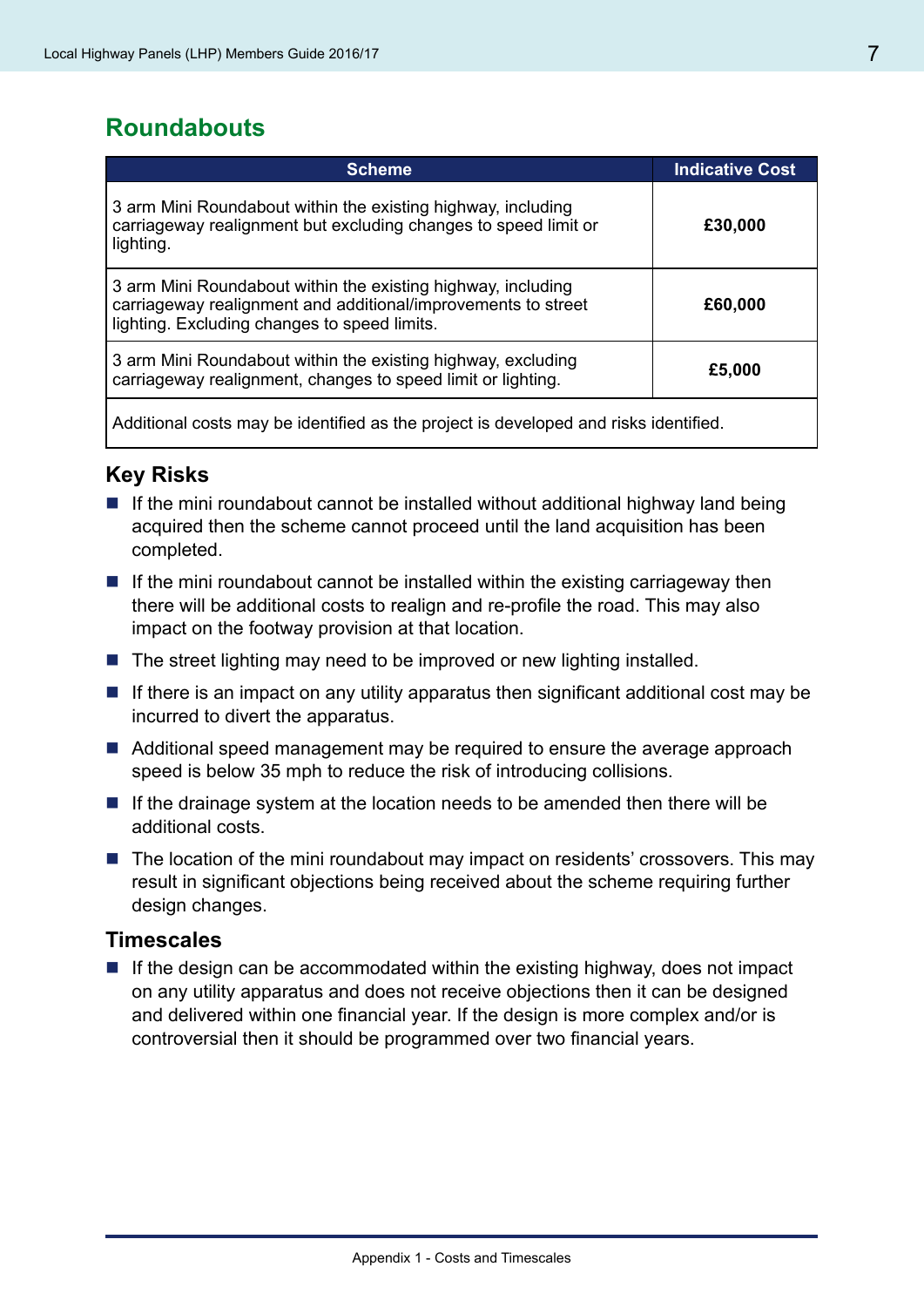### **Roundabouts**

| <b>Scheme</b>                                                                                                                                                                 | <b>Indicative Cost</b> |
|-------------------------------------------------------------------------------------------------------------------------------------------------------------------------------|------------------------|
| 3 arm Mini Roundabout within the existing highway, including<br>carriageway realignment but excluding changes to speed limit or<br>lighting.                                  | £30,000                |
| 3 arm Mini Roundabout within the existing highway, including<br>carriageway realignment and additional/improvements to street<br>lighting. Excluding changes to speed limits. | £60,000                |
| 3 arm Mini Roundabout within the existing highway, excluding<br>carriageway realignment, changes to speed limit or lighting.                                                  | £5,000                 |
| Additional costs may be identified as the project is developed and risks identified.                                                                                          |                        |

#### **Key Risks**

- If the mini roundabout cannot be installed without additional highway land being acquired then the scheme cannot proceed until the land acquisition has been completed.
- $\blacksquare$  If the mini roundabout cannot be installed within the existing carriageway then there will be additional costs to realign and re-profile the road. This may also impact on the footway provision at that location.
- $\blacksquare$  The street lighting may need to be improved or new lighting installed.
- $\blacksquare$  If there is an impact on any utility apparatus then significant additional cost may be incurred to divert the apparatus.
- Additional speed management may be required to ensure the average approach speed is below 35 mph to reduce the risk of introducing collisions.
- $\blacksquare$  If the drainage system at the location needs to be amended then there will be additional costs.
- $\blacksquare$  The location of the mini roundabout may impact on residents' crossovers. This may result in significant objections being received about the scheme requiring further design changes.

#### **Timescales**

 $\blacksquare$  If the design can be accommodated within the existing highway, does not impact on any utility apparatus and does not receive objections then it can be designed and delivered within one financial year. If the design is more complex and/or is controversial then it should be programmed over two financial years.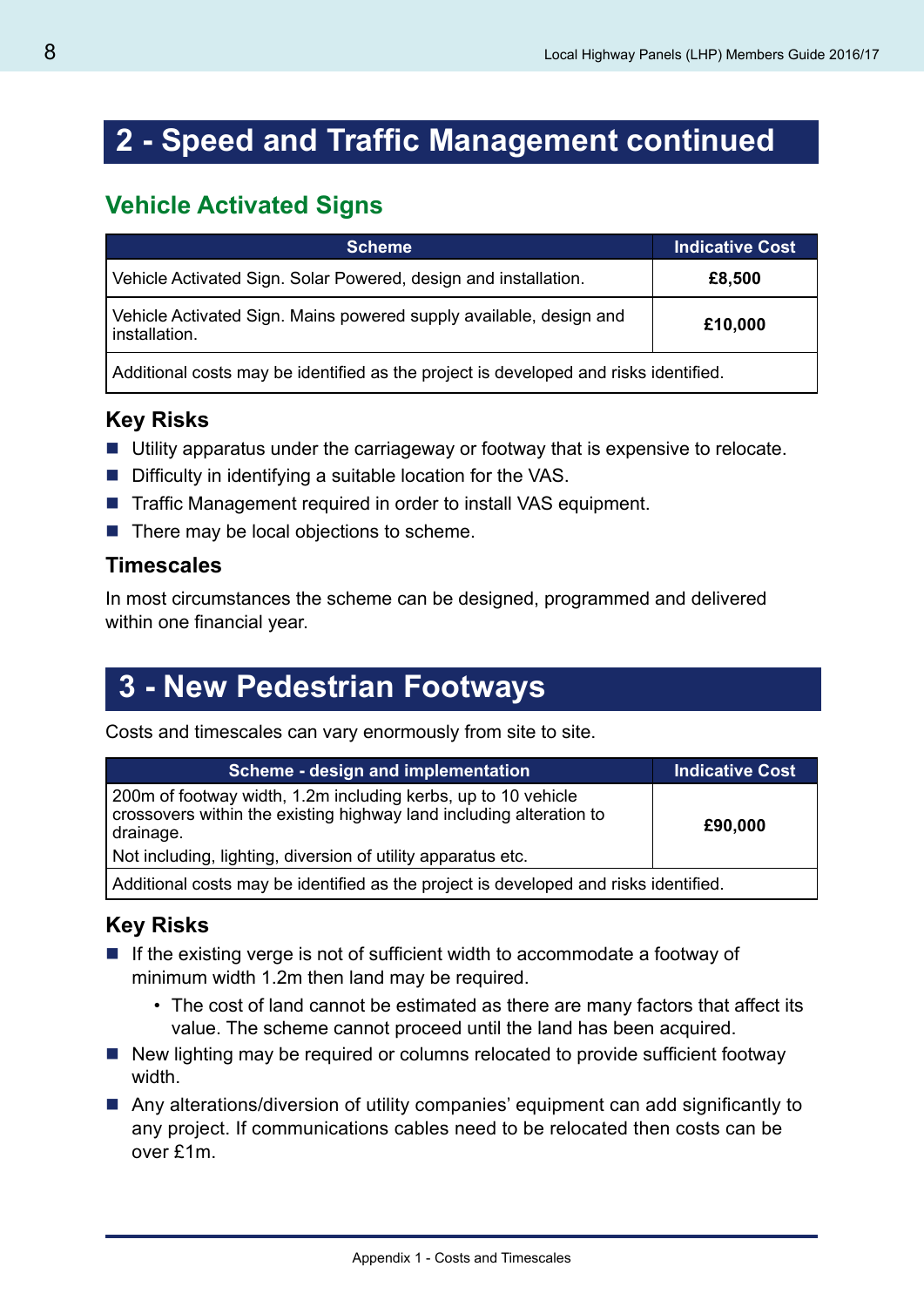### **2 - Speed and Traffic Management continued**

### **Vehicle Activated Signs**

| <b>Scheme</b>                                                                        | <b>Indicative Cost</b> |
|--------------------------------------------------------------------------------------|------------------------|
| Vehicle Activated Sign. Solar Powered, design and installation.                      | £8,500                 |
| Vehicle Activated Sign. Mains powered supply available, design and<br>installation.  | £10,000                |
| Additional costs may be identified as the project is developed and risks identified. |                        |

#### **Key Risks**

- Utility apparatus under the carriageway or footway that is expensive to relocate.
- Difficulty in identifying a suitable location for the VAS.
- Traffic Management required in order to install VAS equipment.
- $\blacksquare$  There may be local objections to scheme.

#### **Timescales**

In most circumstances the scheme can be designed, programmed and delivered within one financial year.

# **3 - New Pedestrian Footways**

Costs and timescales can vary enormously from site to site.

| Scheme - design and implementation                                                                                                                | <b>Indicative Cost</b> |
|---------------------------------------------------------------------------------------------------------------------------------------------------|------------------------|
| 200m of footway width, 1.2m including kerbs, up to 10 vehicle<br>crossovers within the existing highway land including alteration to<br>drainage. | £90,000                |
| Not including, lighting, diversion of utility apparatus etc.                                                                                      |                        |
| Additional costs may be identified as the project is developed and risks identified.                                                              |                        |

#### **Key Risks**

- $\blacksquare$  If the existing verge is not of sufficient width to accommodate a footway of minimum width 1.2m then land may be required.
	- The cost of land cannot be estimated as there are many factors that affect its value. The scheme cannot proceed until the land has been acquired.
- New lighting may be required or columns relocated to provide sufficient footway width.
- Any alterations/diversion of utility companies' equipment can add significantly to any project. If communications cables need to be relocated then costs can be over £1m.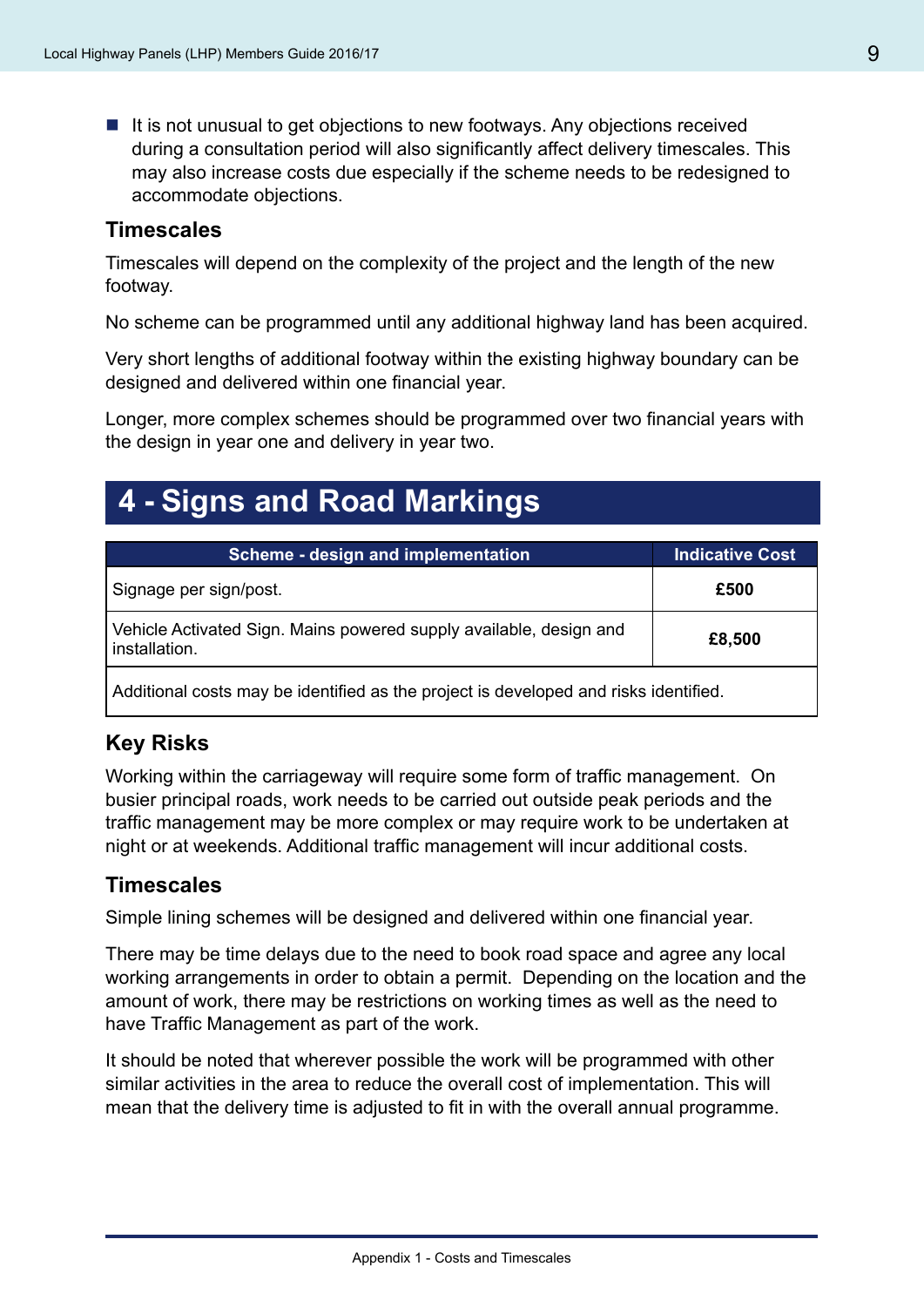$\blacksquare$  It is not unusual to get objections to new footways. Any objections received during a consultation period will also significantly affect delivery timescales. This may also increase costs due especially if the scheme needs to be redesigned to accommodate objections.

#### **Timescales**

Timescales will depend on the complexity of the project and the length of the new footway.

No scheme can be programmed until any additional highway land has been acquired.

Very short lengths of additional footway within the existing highway boundary can be designed and delivered within one financial year.

Longer, more complex schemes should be programmed over two financial years with the design in year one and delivery in year two.

### **4 - Signs and Road Markings**

| Scheme - design and implementation                                                   | <b>Indicative Cost</b> |
|--------------------------------------------------------------------------------------|------------------------|
| Signage per sign/post.                                                               | £500                   |
| Vehicle Activated Sign. Mains powered supply available, design and<br>installation.  | £8,500                 |
| Additional costs may be identified as the project is developed and risks identified. |                        |

#### **Key Risks**

Working within the carriageway will require some form of traffic management. On busier principal roads, work needs to be carried out outside peak periods and the traffic management may be more complex or may require work to be undertaken at night or at weekends. Additional traffic management will incur additional costs.

#### **Timescales**

Simple lining schemes will be designed and delivered within one financial year.

There may be time delays due to the need to book road space and agree any local working arrangements in order to obtain a permit. Depending on the location and the amount of work, there may be restrictions on working times as well as the need to have Traffic Management as part of the work.

It should be noted that wherever possible the work will be programmed with other similar activities in the area to reduce the overall cost of implementation. This will mean that the delivery time is adjusted to fit in with the overall annual programme.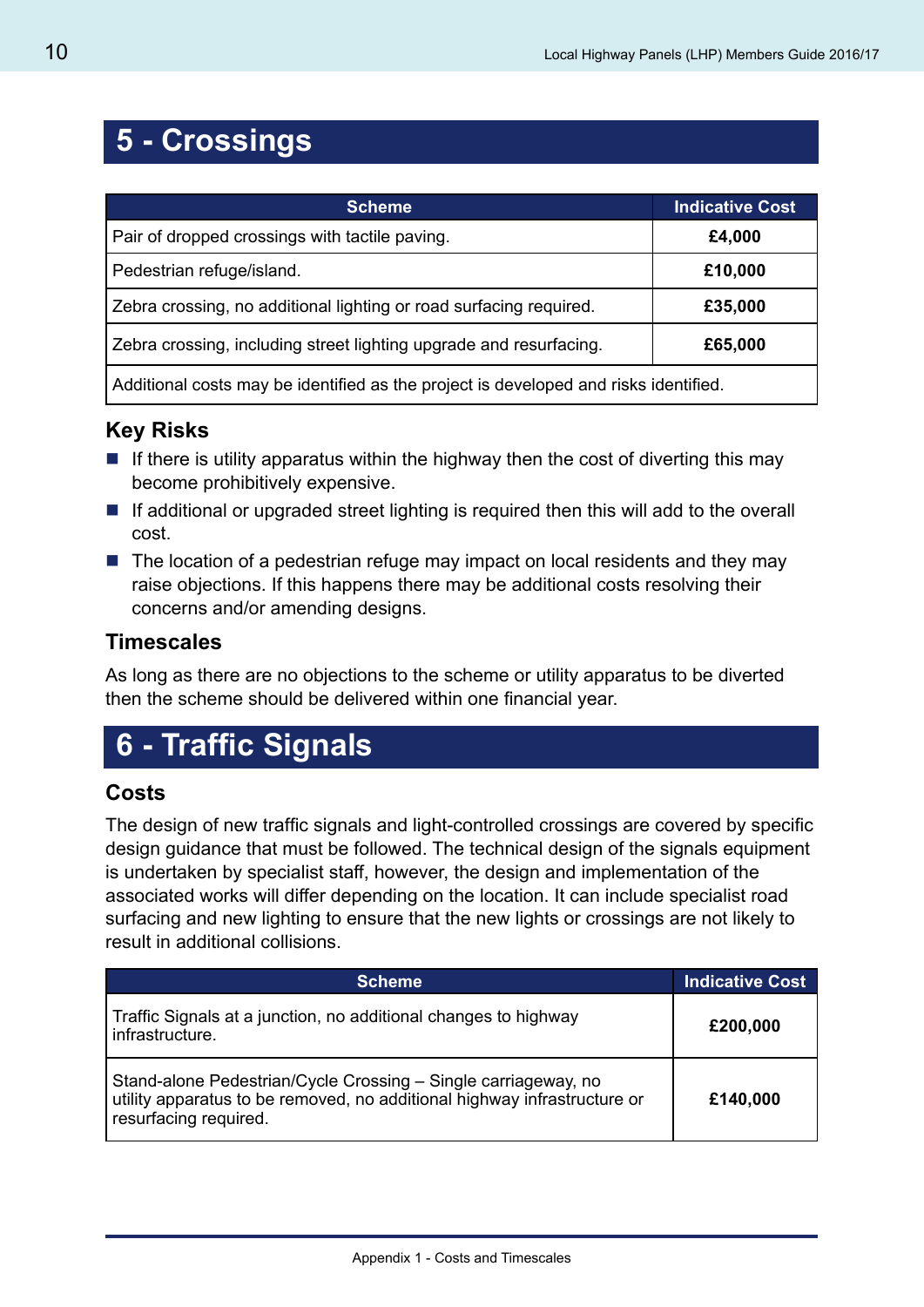# **5 - Crossings**

| <b>Scheme</b>                                                                        | <b>Indicative Cost</b> |
|--------------------------------------------------------------------------------------|------------------------|
| Pair of dropped crossings with tactile paving.                                       | £4,000                 |
| Pedestrian refuge/island.                                                            | £10,000                |
| Zebra crossing, no additional lighting or road surfacing required.                   | £35,000                |
| Zebra crossing, including street lighting upgrade and resurfacing.                   | £65,000                |
| Additional costs may be identified as the project is developed and risks identified. |                        |

#### **Key Risks**

- If there is utility apparatus within the highway then the cost of diverting this may become prohibitively expensive.
- $\blacksquare$  If additional or upgraded street lighting is required then this will add to the overall cost.
- $\blacksquare$  The location of a pedestrian refuge may impact on local residents and they may raise objections. If this happens there may be additional costs resolving their concerns and/or amending designs.

#### **Timescales**

As long as there are no objections to the scheme or utility apparatus to be diverted then the scheme should be delivered within one financial year.

# **6 - Traffic Signals**

#### **Costs**

The design of new traffic signals and light-controlled crossings are covered by specific design guidance that must be followed. The technical design of the signals equipment is undertaken by specialist staff, however, the design and implementation of the associated works will differ depending on the location. It can include specialist road surfacing and new lighting to ensure that the new lights or crossings are not likely to result in additional collisions.

| <b>Scheme</b>                                                                                                                                                       | <b>Indicative Cost</b> |
|---------------------------------------------------------------------------------------------------------------------------------------------------------------------|------------------------|
| Traffic Signals at a junction, no additional changes to highway<br>infrastructure.                                                                                  | £200,000               |
| Stand-alone Pedestrian/Cycle Crossing - Single carriageway, no<br>utility apparatus to be removed, no additional highway infrastructure or<br>resurfacing required. | £140,000               |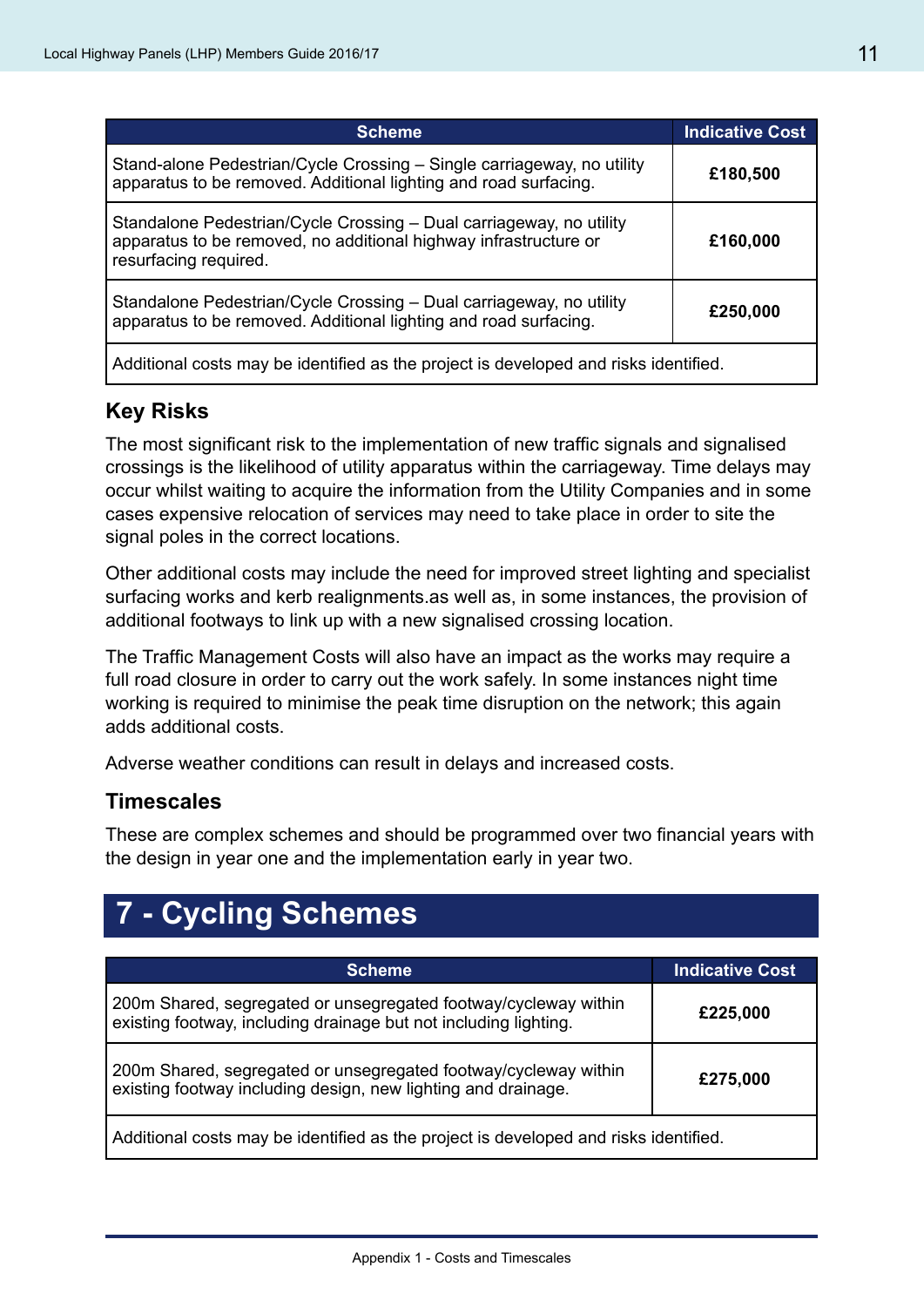| <b>Scheme</b>                                                                                                                                                    | <b>Indicative Cost</b> |
|------------------------------------------------------------------------------------------------------------------------------------------------------------------|------------------------|
| Stand-alone Pedestrian/Cycle Crossing – Single carriageway, no utility<br>apparatus to be removed. Additional lighting and road surfacing.                       | £180,500               |
| Standalone Pedestrian/Cycle Crossing - Dual carriageway, no utility<br>apparatus to be removed, no additional highway infrastructure or<br>resurfacing required. | £160,000               |
| Standalone Pedestrian/Cycle Crossing - Dual carriageway, no utility<br>apparatus to be removed. Additional lighting and road surfacing.                          | £250,000               |
| Additional costs may be identified as the project is developed and risks identified.                                                                             |                        |

#### **Key Risks**

The most significant risk to the implementation of new traffic signals and signalised crossings is the likelihood of utility apparatus within the carriageway. Time delays may occur whilst waiting to acquire the information from the Utility Companies and in some cases expensive relocation of services may need to take place in order to site the signal poles in the correct locations.

Other additional costs may include the need for improved street lighting and specialist surfacing works and kerb realignments.as well as, in some instances, the provision of additional footways to link up with a new signalised crossing location.

The Traffic Management Costs will also have an impact as the works may require a full road closure in order to carry out the work safely. In some instances night time working is required to minimise the peak time disruption on the network; this again adds additional costs.

Adverse weather conditions can result in delays and increased costs.

#### **Timescales**

These are complex schemes and should be programmed over two financial years with the design in year one and the implementation early in year two.

# **7 - Cycling Schemes**

| <b>Scheme</b>                                                                                                                       | <b>Indicative Cost</b> |
|-------------------------------------------------------------------------------------------------------------------------------------|------------------------|
| 200m Shared, segregated or unsegregated footway/cycleway within<br>existing footway, including drainage but not including lighting. | £225,000               |
| 200m Shared, segregated or unsegregated footway/cycleway within<br>existing footway including design, new lighting and drainage.    | £275,000               |
| Additional costs may be identified as the project is developed and risks identified.                                                |                        |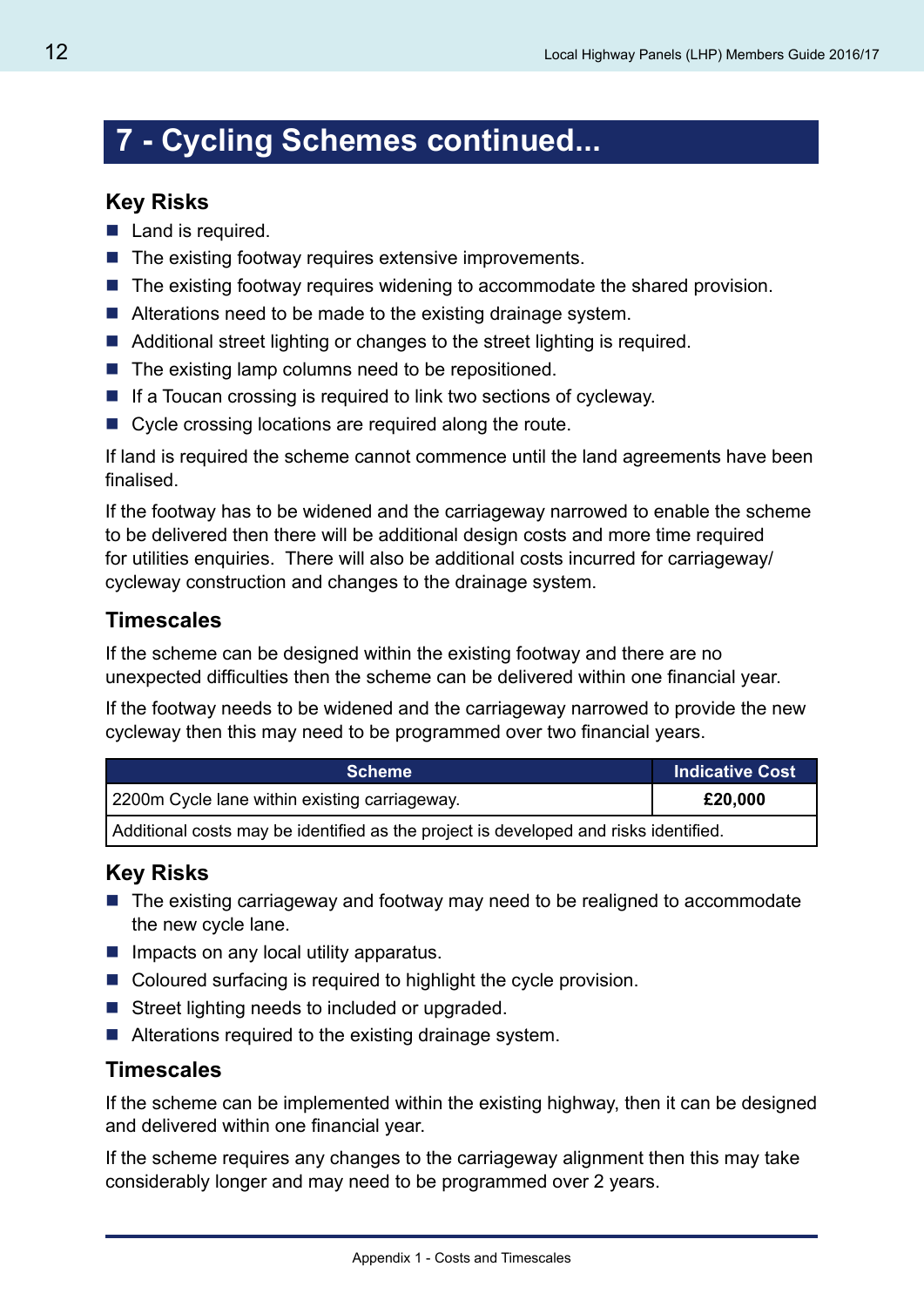# **7 - Cycling Schemes continued...**

#### **Key Risks**

- Land is required.
- $\blacksquare$  The existing footway requires extensive improvements.
- The existing footway requires widening to accommodate the shared provision.
- Alterations need to be made to the existing drainage system.
- Additional street lighting or changes to the street lighting is required.
- $\blacksquare$  The existing lamp columns need to be repositioned.
- $\blacksquare$  If a Toucan crossing is required to link two sections of cycleway.
- Cycle crossing locations are required along the route.

If land is required the scheme cannot commence until the land agreements have been finalised.

If the footway has to be widened and the carriageway narrowed to enable the scheme to be delivered then there will be additional design costs and more time required for utilities enquiries. There will also be additional costs incurred for carriageway/ cycleway construction and changes to the drainage system.

#### **Timescales**

If the scheme can be designed within the existing footway and there are no unexpected difficulties then the scheme can be delivered within one financial year.

If the footway needs to be widened and the carriageway narrowed to provide the new cycleway then this may need to be programmed over two financial years.

| <b>Scheme</b>                                                                        | <b>Indicative Cost</b> |
|--------------------------------------------------------------------------------------|------------------------|
| 2200m Cycle lane within existing carriageway.                                        | £20,000                |
| Additional costs may be identified as the project is developed and risks identified. |                        |

#### **Key Risks**

- The existing carriageway and footway may need to be realigned to accommodate the new cycle lane.
- $\blacksquare$  Impacts on any local utility apparatus.
- Coloured surfacing is required to highlight the cycle provision.
- Street lighting needs to included or upgraded.
- Alterations required to the existing drainage system.

#### **Timescales**

If the scheme can be implemented within the existing highway, then it can be designed and delivered within one financial year.

If the scheme requires any changes to the carriageway alignment then this may take considerably longer and may need to be programmed over 2 years.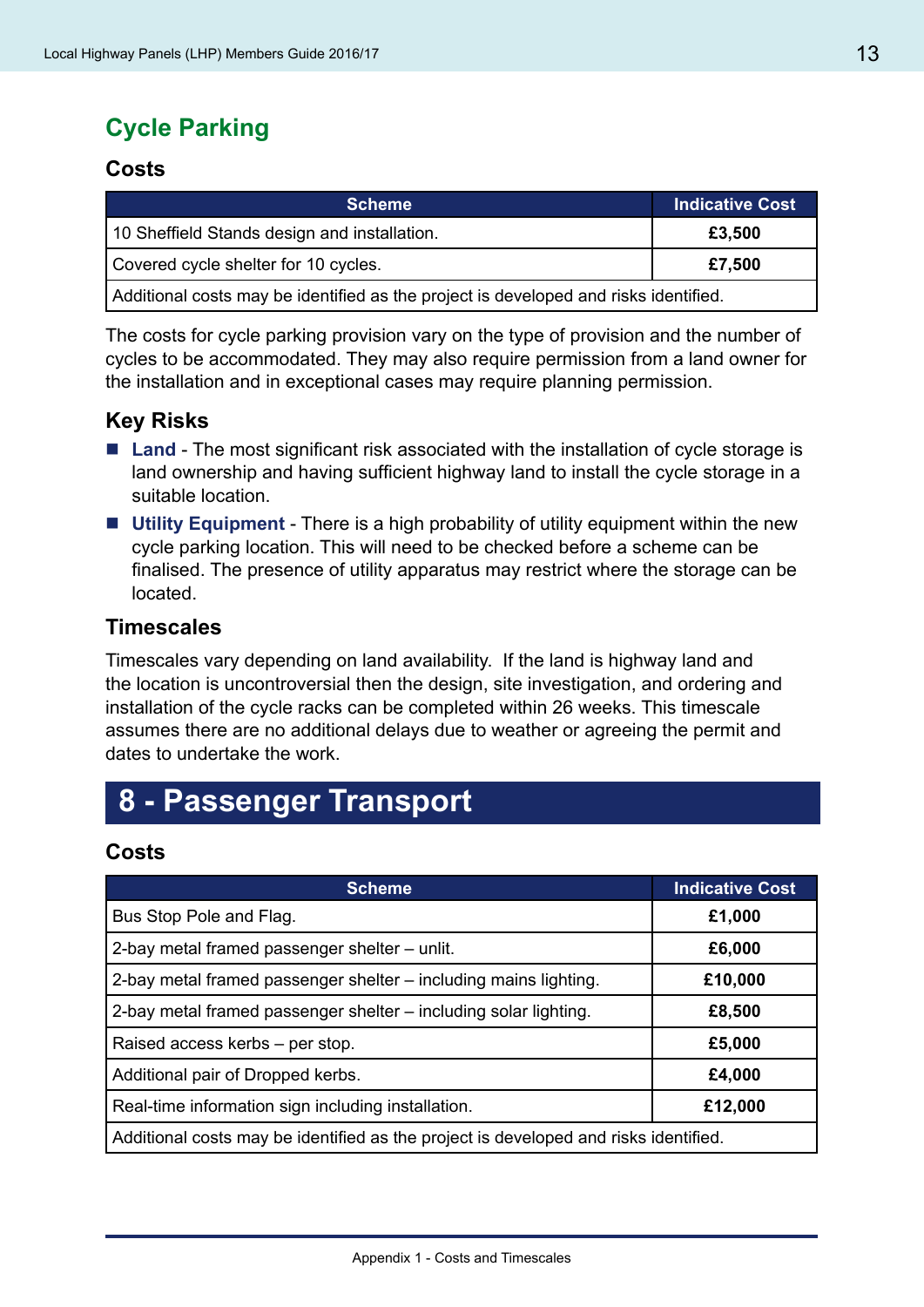### **Cycle Parking**

#### **Costs**

| <b>Scheme</b>                                                                        | Indicative Cost |
|--------------------------------------------------------------------------------------|-----------------|
| 10 Sheffield Stands design and installation.                                         | £3,500          |
| Covered cycle shelter for 10 cycles.                                                 | £7,500          |
| Additional costs may be identified as the project is developed and risks identified. |                 |

The costs for cycle parking provision vary on the type of provision and the number of cycles to be accommodated. They may also require permission from a land owner for the installation and in exceptional cases may require planning permission.

#### **Key Risks**

- Land The most significant risk associated with the installation of cycle storage is land ownership and having sufficient highway land to install the cycle storage in a suitable location.
- Utility Equipment There is a high probability of utility equipment within the new cycle parking location. This will need to be checked before a scheme can be finalised. The presence of utility apparatus may restrict where the storage can be located.

#### **Timescales**

Timescales vary depending on land availability. If the land is highway land and the location is uncontroversial then the design, site investigation, and ordering and installation of the cycle racks can be completed within 26 weeks. This timescale assumes there are no additional delays due to weather or agreeing the permit and dates to undertake the work.

### **8 - Passenger Transport**

#### **Costs**

| <b>Scheme</b>                                                                        | <b>Indicative Cost</b> |
|--------------------------------------------------------------------------------------|------------------------|
| Bus Stop Pole and Flag.                                                              | £1,000                 |
| 2-bay metal framed passenger shelter - unlit.                                        | £6,000                 |
| 2-bay metal framed passenger shelter – including mains lighting.                     | £10,000                |
| 2-bay metal framed passenger shelter - including solar lighting.                     | £8,500                 |
| Raised access kerbs – per stop.                                                      | £5,000                 |
| Additional pair of Dropped kerbs.                                                    | £4,000                 |
| Real-time information sign including installation.                                   | £12,000                |
| Additional costs may be identified as the project is developed and risks identified. |                        |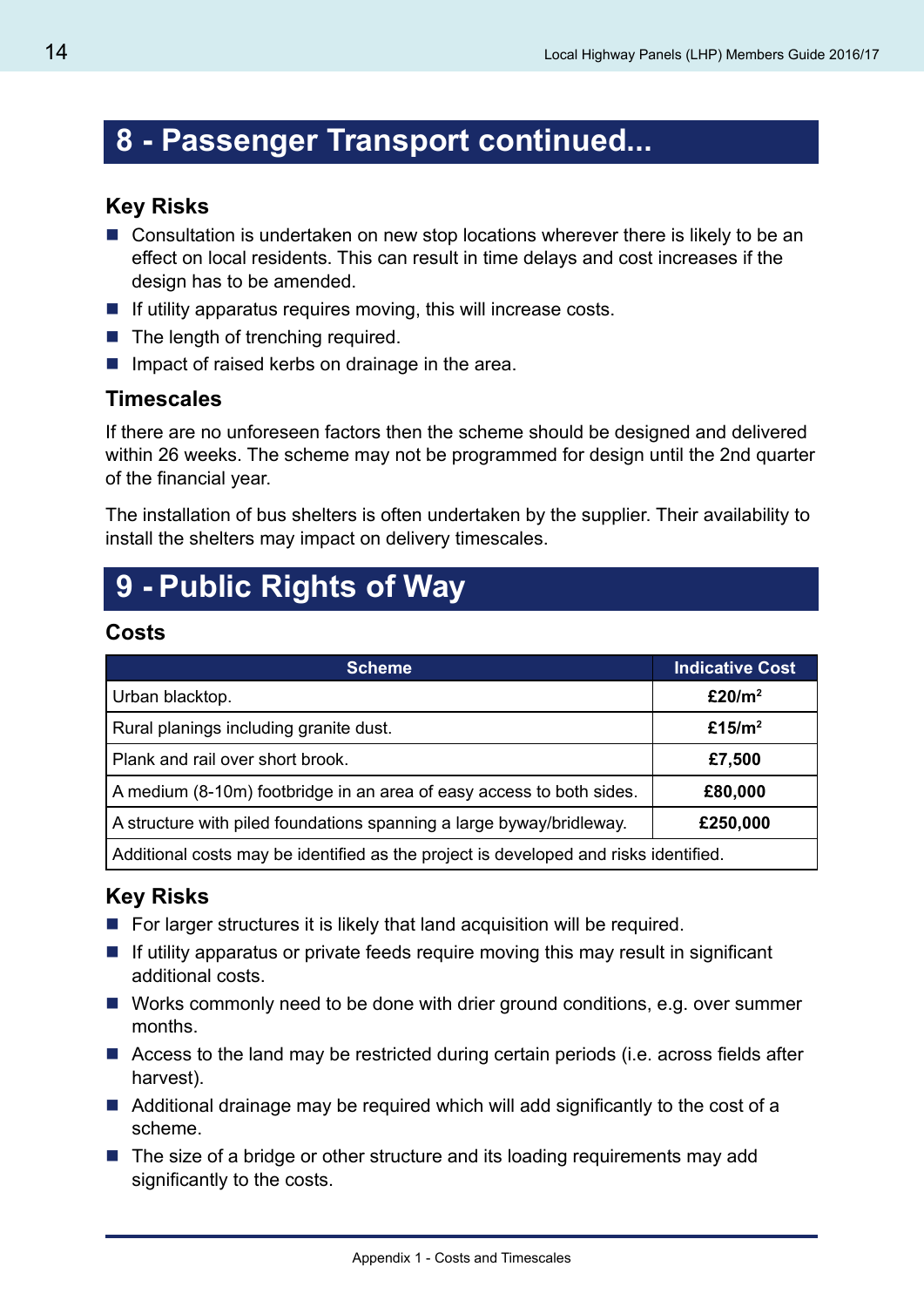### **8 - Passenger Transport continued...**

#### **Key Risks**

- Consultation is undertaken on new stop locations wherever there is likely to be an effect on local residents. This can result in time delays and cost increases if the design has to be amended.
- $\blacksquare$  If utility apparatus requires moving, this will increase costs.
- $\blacksquare$  The length of trenching required.
- $\blacksquare$  Impact of raised kerbs on drainage in the area.

#### **Timescales**

If there are no unforeseen factors then the scheme should be designed and delivered within 26 weeks. The scheme may not be programmed for design until the 2nd quarter of the financial year.

The installation of bus shelters is often undertaken by the supplier. Their availability to install the shelters may impact on delivery timescales.

# **9 - Public Rights of Way**

#### **Costs**

| <b>Scheme</b>                                                                        | <b>Indicative Cost</b> |
|--------------------------------------------------------------------------------------|------------------------|
| Urban blacktop.                                                                      | £20/ $m2$              |
| Rural planings including granite dust.                                               | £15/ $m2$              |
| Plank and rail over short brook.                                                     | £7,500                 |
| A medium (8-10m) footbridge in an area of easy access to both sides.                 | £80,000                |
| A structure with piled foundations spanning a large byway/bridleway.                 | £250,000               |
| Additional costs may be identified as the project is developed and risks identified. |                        |

#### **Key Risks**

- For larger structures it is likely that land acquisition will be required.
- $\blacksquare$  If utility apparatus or private feeds require moving this may result in significant additional costs.
- Works commonly need to be done with drier ground conditions, e.g. over summer months.
- Access to the land may be restricted during certain periods (i.e. across fields after harvest).
- $\blacksquare$  Additional drainage may be required which will add significantly to the cost of a scheme.
- The size of a bridge or other structure and its loading requirements may add significantly to the costs.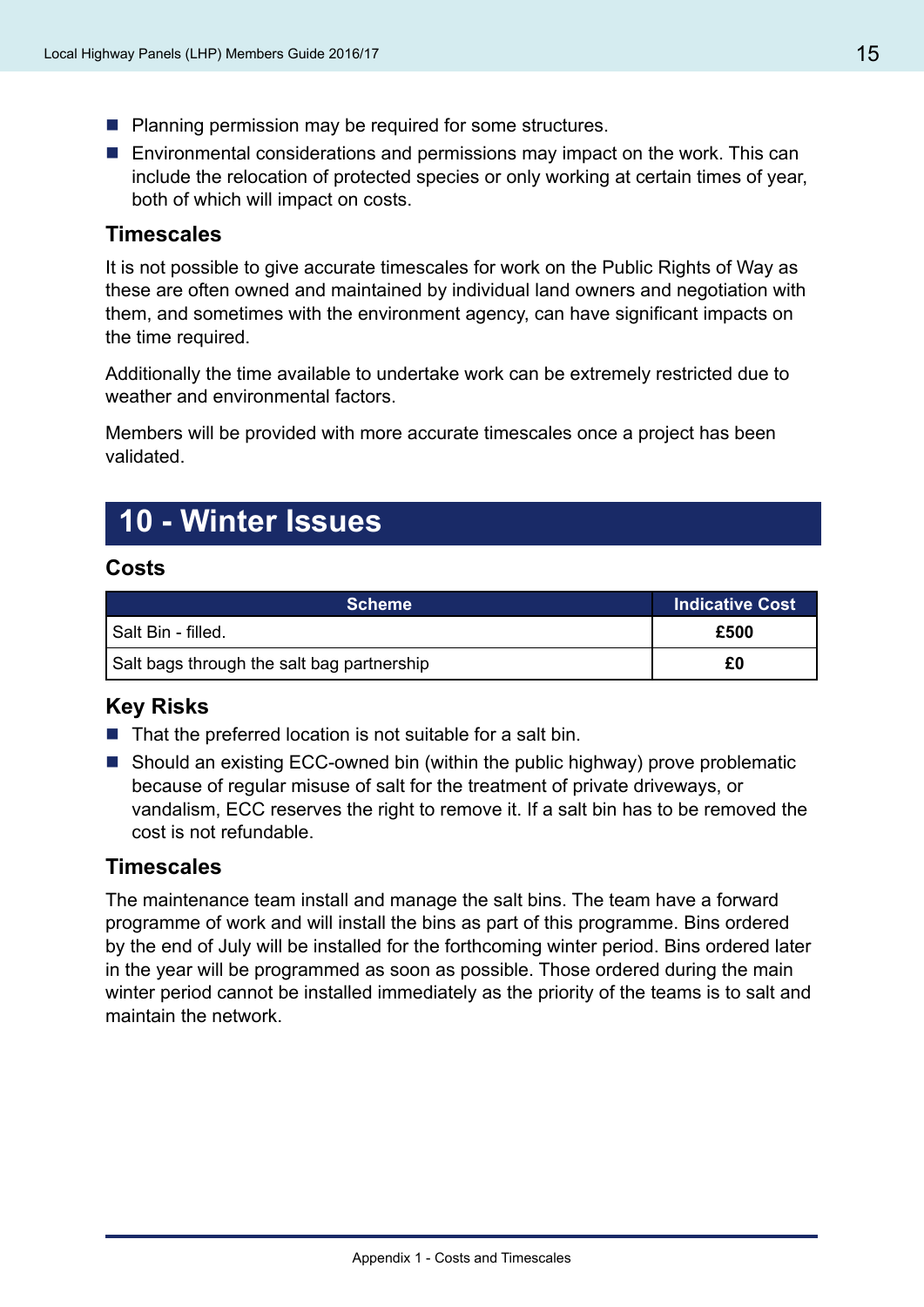- **Planning permission may be required for some structures.**
- **E** Environmental considerations and permissions may impact on the work. This can include the relocation of protected species or only working at certain times of year, both of which will impact on costs.

#### **Timescales**

It is not possible to give accurate timescales for work on the Public Rights of Way as these are often owned and maintained by individual land owners and negotiation with them, and sometimes with the environment agency, can have significant impacts on the time required.

Additionally the time available to undertake work can be extremely restricted due to weather and environmental factors.

Members will be provided with more accurate timescales once a project has been validated.

### **10 - Winter Issues**

#### **Costs**

| <b>Scheme</b>                              | <b>Indicative Cost</b> |
|--------------------------------------------|------------------------|
| l Salt Bin - filled.                       | £500                   |
| Salt bags through the salt bag partnership | £0                     |

#### **Key Risks**

- $\blacksquare$  That the preferred location is not suitable for a salt bin.
- Should an existing ECC-owned bin (within the public highway) prove problematic because of regular misuse of salt for the treatment of private driveways, or vandalism, ECC reserves the right to remove it. If a salt bin has to be removed the cost is not refundable.

#### **Timescales**

The maintenance team install and manage the salt bins. The team have a forward programme of work and will install the bins as part of this programme. Bins ordered by the end of July will be installed for the forthcoming winter period. Bins ordered later in the year will be programmed as soon as possible. Those ordered during the main winter period cannot be installed immediately as the priority of the teams is to salt and maintain the network.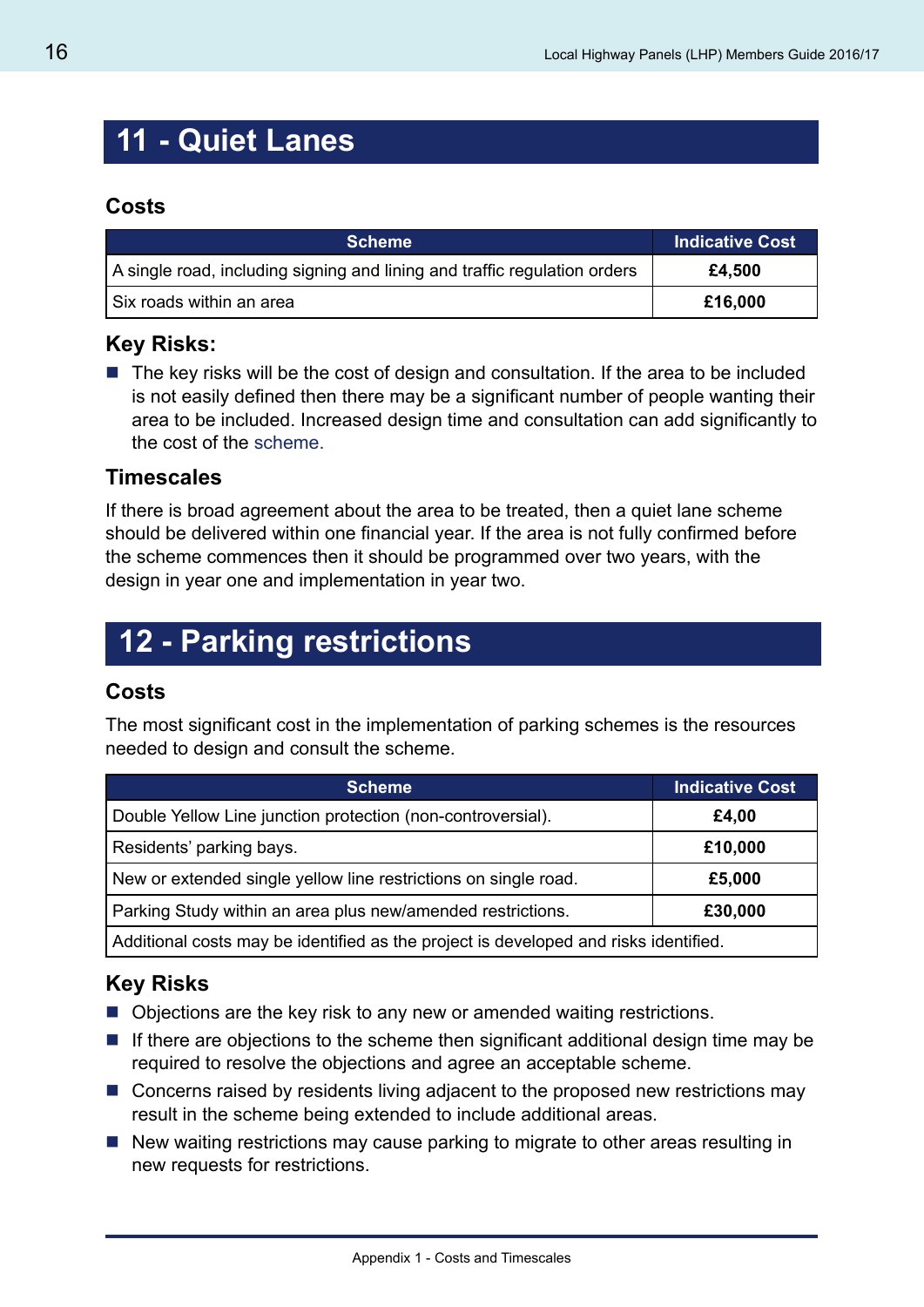### **11 - Quiet Lanes**

#### **Costs**

| <b>Scheme</b>                                                             | ∣ Indicative Cost <sup>∣</sup> |
|---------------------------------------------------------------------------|--------------------------------|
| A single road, including signing and lining and traffic regulation orders | £4,500                         |
| Six roads within an area                                                  | £16,000                        |

#### **Key Risks:**

 $\blacksquare$  The key risks will be the cost of design and consultation. If the area to be included is not easily defined then there may be a significant number of people wanting their area to be included. Increased design time and consultation can add significantly to the cost of the scheme.

#### **Timescales**

If there is broad agreement about the area to be treated, then a quiet lane scheme should be delivered within one financial year. If the area is not fully confirmed before the scheme commences then it should be programmed over two years, with the design in year one and implementation in year two.

# **12 - Parking restrictions**

#### **Costs**

The most significant cost in the implementation of parking schemes is the resources needed to design and consult the scheme.

| <b>Scheme</b>                                                                        | <b>Indicative Cost</b> |
|--------------------------------------------------------------------------------------|------------------------|
| Double Yellow Line junction protection (non-controversial).                          | £4,00                  |
| Residents' parking bays.                                                             | £10,000                |
| New or extended single yellow line restrictions on single road.                      | £5,000                 |
| Parking Study within an area plus new/amended restrictions.                          | £30,000                |
| Additional costs may be identified as the project is developed and risks identified. |                        |

#### **Key Risks**

- Objections are the key risk to any new or amended waiting restrictions.
- $\blacksquare$  If there are objections to the scheme then significant additional design time may be required to resolve the objections and agree an acceptable scheme.
- Concerns raised by residents living adjacent to the proposed new restrictions may result in the scheme being extended to include additional areas.
- New waiting restrictions may cause parking to migrate to other areas resulting in new requests for restrictions.